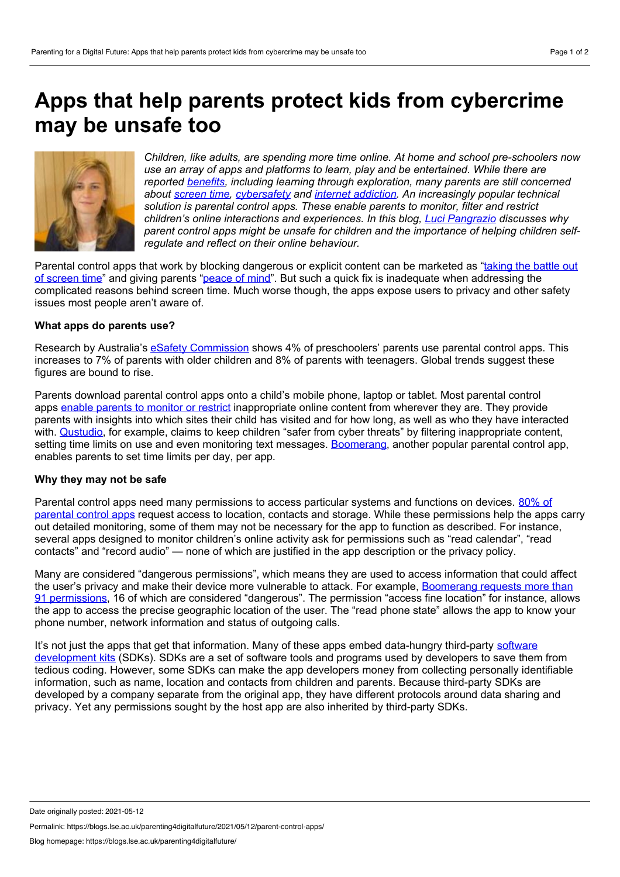# **Apps that help parents protect kids from cybercrime may be unsafe too**



*Children, like adults, are spending more time online. At home and school pre-schoolers now use an array of apps and platforms to learn, play and be entertained. While there are reported [benefits,](https://journals.sagepub.com/doi/abs/10.1177/2043610617734985) including learning through exploration, many parents are still concerned about [screen](https://blogs.lse.ac.uk/parenting4digitalfuture/2020/12/16/from-screen-time-to-online-experiences/) time, [cybersafety](https://revistes.ub.edu/index.php/der/article/view/30533) and internet [addiction](https://www.commonsensemedia.org/technology-addiction/is-internet-addiction-real). An increasingly popular technical solution is parental control apps. These enable parents to monitor, filter and restrict children's online interactions and experiences. In this blog, Luci [Pangrazio](https://theconversation.com/profiles/luci-pangrazio-1216332) discusses why parent control apps might be unsafe for children and the importance of helping children selfregulate and reflect on their online behaviour.*

Parental control apps that work by blocking dangerous or explicit content can be marketed as "taking the battle out of screen time" and giving parents ["peace](https://mamabearapp.com/) of mind". But such a quick fix is [inadequate](https://useboomerang.com/) when addressing the complicated reasons behind screen time. Much worse though, the apps expose users to privacy and other safety issues most people aren't aware of.

## **What apps do parents use?**

Research by Australia's eSafety [Commission](https://www.esafety.gov.au/about-us/research/digital-parenting/digital-families) shows 4% of preschoolers' parents use parental control apps. This increases to 7% of parents with older children and 8% of parents with teenagers. Global trends suggest these figures are bound to rise.

Parents download parental control apps onto a child's mobile phone, laptop or tablet. Most parental control apps enable parents to [monitor](https://dl.acm.org/doi/10.1145/2998181.2998352) or restrict inappropriate online content from wherever they are. They provide parents with insights into which sites their child has visited and for how long, as well as who they have interacted with. [Qustudio,](https://www.qustodio.com/en/) for example, claims to keep children "safer from cyber threats" by filtering inappropriate content, setting time limits on use and even monitoring text messages. [Boomerang](https://useboomerang.com/), another popular parental control app, enables parents to set time limits per day, per app.

## **Why they may not be safe**

Parental control apps need many [permissions](https://content.sciendo.com/view/journals/popets/2020/2/article-p314.xml?language=en) to access particular systems and functions on devices. 80% of parental control apps request access to location, contacts and storage. While these permissions help the apps carry out detailed monitoring, some of them may not be necessary for the app to function as described. For instance, several apps designed to monitor children's online activity ask for permissions such as "read calendar", "read contacts" and "record audio" — none of which are justified in the app description or the privacy policy.

Many are considered "dangerous permissions", which means they are used to access information that could affect the user's privacy and make their device more vulnerable to attack. For example, Boomerang requests more than 91 permissions, 16 of which are considered ["dangerous".](https://content.sciendo.com/configurable/contentpage/journals%2524002fpopets%2524002f2020%2524002f2%2524002farticle-p314.xml) The permission "access fine location" for instance, allows the app to access the precise geographic location of the user. The "read phone state" allows the app to know your phone number, network information and status of outgoing calls.

It's not just the apps that get that information. Many of these apps embed data-hungry third-party software [development](https://en.wikipedia.org/wiki/Software_development_kit) kits (SDKs). SDKs are a set of software tools and programs used by developers to save them from tedious coding. However, some SDKs can make the app developers money from collecting personally identifiable information, such as name, location and contacts from children and parents. Because third-party SDKs are developed by a company separate from the original app, they have different protocols around data sharing and privacy. Yet any permissions sought by the host app are also inherited by third-party SDKs.

Permalink: https://blogs.lse.ac.uk/parenting4digitalfuture/2021/05/12/parent-control-apps/

Date originally posted: 2021-05-12